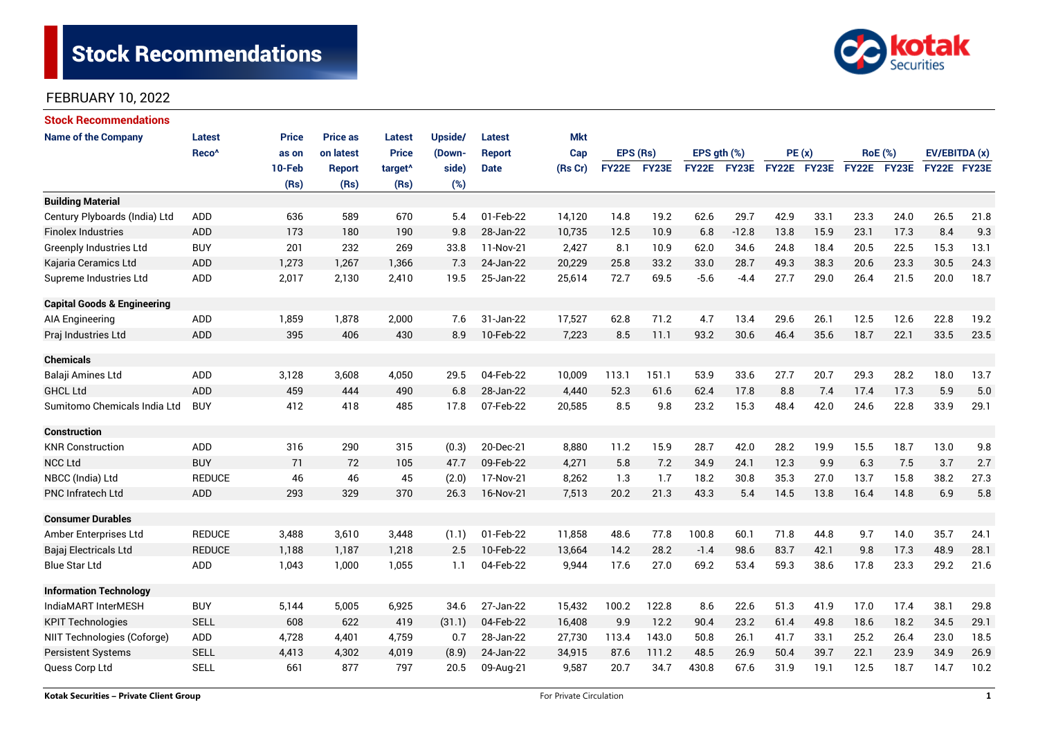# **Stock Recommendations**



### FEBRUARY 10, 2022

| <b>Stock Recommendations</b>           |                   |              |                 |                     |         |               |            |              |       |                  |                    |             |                                      |                |             |               |      |
|----------------------------------------|-------------------|--------------|-----------------|---------------------|---------|---------------|------------|--------------|-------|------------------|--------------------|-------------|--------------------------------------|----------------|-------------|---------------|------|
| <b>Name of the Company</b>             | <b>Latest</b>     | <b>Price</b> | <b>Price as</b> | <b>Latest</b>       | Upside/ | <b>Latest</b> | <b>Mkt</b> |              |       |                  |                    |             |                                      |                |             |               |      |
|                                        | Reco <sup>^</sup> | as on        | on latest       | <b>Price</b>        | (Down-  | <b>Report</b> | Cap        | EPS (Rs)     |       | EPS $gth$ $(\%)$ |                    | PE(x)       |                                      | <b>RoE</b> (%) |             | EV/EBITDA (x) |      |
|                                        |                   | 10-Feb       | <b>Report</b>   | target <sup>^</sup> | side)   | <b>Date</b>   | (Rs Cr)    | <b>FY22E</b> | FY23E |                  | <b>FY22E FY23E</b> | FY22E FY23E |                                      |                | FY22E FY23E | FY22E FY23E   |      |
|                                        |                   | (Rs)         | (Rs)            | (Rs)                | (%)     |               |            |              |       |                  |                    |             |                                      |                |             |               |      |
| <b>Building Material</b>               |                   |              |                 |                     |         |               |            |              |       |                  |                    |             |                                      |                |             |               |      |
| Century Plyboards (India) Ltd          | <b>ADD</b>        | 636          | 589             | 670                 | 5.4     | 01-Feb-22     | 14,120     | 14.8         | 19.2  | 62.6             | 29.7               | 42.9        | 33.1                                 | 23.3           | 24.0        | 26.5          | 21.8 |
| <b>Finolex Industries</b>              | <b>ADD</b>        | 173          | 180             | 190                 | 9.8     | 28-Jan-22     | 10,735     | 12.5         | 10.9  | 6.8              | $-12.8$            | 13.8        | 15.9                                 | 23.1           | 17.3        | 8.4           | 9.3  |
| <b>Greenply Industries Ltd</b>         | <b>BUY</b>        | 201          | 232             | 269                 | 33.8    | 11-Nov-21     | 2,427      | 8.1          | 10.9  | 62.0             | 34.6               | 24.8        | 18.4                                 | 20.5           | 22.5        | 15.3          | 13.1 |
| Kajaria Ceramics Ltd                   | <b>ADD</b>        | 1,273        | 1,267           | 1,366               | 7.3     | 24-Jan-22     | 20,229     | 25.8         | 33.2  | 33.0             | 28.7               | 49.3        | 38.3                                 | 20.6           | 23.3        | 30.5          | 24.3 |
| Supreme Industries Ltd                 | ADD               | 2,017        | 2,130           | 2,410               | 19.5    | 25-Jan-22     | 25,614     | 72.7         | 69.5  | $-5.6$           | $-4.4$             | 27.7        | 29.0                                 | 26.4           | 21.5        | 20.0          | 18.7 |
| <b>Capital Goods &amp; Engineering</b> |                   |              |                 |                     |         |               |            |              |       |                  |                    |             |                                      |                |             |               |      |
| AIA Engineering                        | ADD               | 1,859        | 1,878           | 2,000               | 7.6     | 31-Jan-22     | 17,527     | 62.8         | 71.2  | 4.7              | 13.4               | 29.6        | 26.1                                 | 12.5           | 12.6        | 22.8          | 19.2 |
| Praj Industries Ltd                    | ADD               | 395          | 406             | 430                 | 8.9     | 10-Feb-22     | 7,223      | 8.5          | 11.1  | 93.2             | 30.6               | 46.4        | 35.6                                 | 18.7           | 22.1        | 33.5          | 23.5 |
| <b>Chemicals</b>                       |                   |              |                 |                     |         |               |            |              |       |                  |                    |             |                                      |                |             |               |      |
| Balaji Amines Ltd                      | <b>ADD</b>        | 3,128        | 3,608           | 4,050               | 29.5    | 04-Feb-22     | 10,009     | 113.1        | 151.1 | 53.9             | 33.6               | 27.7        | 20.7                                 | 29.3           | 28.2        | 18.0          | 13.7 |
| <b>GHCL Ltd</b>                        | <b>ADD</b>        | 459          | 444             | 490                 | 6.8     | 28-Jan-22     | 4,440      | 52.3         | 61.6  | 62.4             | 17.8               | 8.8         | 7.4                                  | 17.4           | 17.3        | 5.9           | 5.0  |
| Sumitomo Chemicals India Ltd           | <b>BUY</b>        | 412          | 418             | 485                 | 17.8    | 07-Feb-22     | 20,585     | 8.5          | 9.8   | 23.2             | 15.3               | 48.4        | 42.0                                 | 24.6           | 22.8        | 33.9          | 29.1 |
| <b>Construction</b>                    |                   |              |                 |                     |         |               |            |              |       |                  |                    |             |                                      |                |             |               |      |
| <b>KNR Construction</b>                | ADD               | 316          | 290             | 315                 | (0.3)   | 20-Dec-21     | 8,880      | 11.2         | 15.9  | 28.7             | 42.0               | 28.2        | 19.9                                 | 15.5           | 18.7        | 13.0          | 9.8  |
| <b>NCC Ltd</b>                         | <b>BUY</b>        | 71           | 72              | 105                 | 47.7    | 09-Feb-22     | 4,271      | 5.8          | 7.2   | 34.9             | 24.1               | 12.3        | 9.9                                  | 6.3            | 7.5         | 3.7           | 2.7  |
| NBCC (India) Ltd                       | <b>REDUCE</b>     | 46           | 46              | 45                  | (2.0)   | 17-Nov-21     | 8,262      | 1.3          | 1.7   | 18.2             | 30.8               | 35.3        | 27.0                                 | 13.7           | 15.8        | 38.2          | 27.3 |
| <b>PNC Infratech Ltd</b>               | <b>ADD</b>        | 293          | 329             | 370                 | 26.3    | 16-Nov-21     | 7,513      | 20.2         | 21.3  | 43.3             | 5.4                | 14.5        | 13.8                                 | 16.4           | 14.8        | 6.9           | 5.8  |
| <b>Consumer Durables</b>               |                   |              |                 |                     |         |               |            |              |       |                  |                    |             |                                      |                |             |               |      |
| Amber Enterprises Ltd                  | <b>REDUCE</b>     | 3,488        | 3,610           | 3,448               | (1.1)   | 01-Feb-22     | 11,858     | 48.6         | 77.8  | 100.8            | 60.1               | 71.8        | 44.8                                 | 9.7            | 14.0        | 35.7          | 24.1 |
| Bajaj Electricals Ltd                  | <b>REDUCE</b>     | 1,188        | 1,187           | 1,218               | 2.5     | 10-Feb-22     | 13,664     | 14.2         | 28.2  | $-1.4$           | 98.6               | 83.7        | 42.1                                 | 9.8            | 17.3        | 48.9          | 28.1 |
| <b>Blue Star Ltd</b>                   | <b>ADD</b>        | 1,043        | 1.000           | 1,055               | 1.1     | 04-Feb-22     | 9,944      | 17.6         | 27.0  | 69.2             | 53.4               | 59.3        | 38.6                                 | 17.8           | 23.3        | 29.2          | 21.6 |
| <b>Information Technology</b>          |                   |              |                 |                     |         |               |            |              |       |                  |                    |             |                                      |                |             |               |      |
| IndiaMART InterMESH                    | <b>BUY</b>        | 5,144        | 5,005           | 6,925               | 34.6    | 27-Jan-22     | 15,432     | 100.2        | 122.8 | 8.6              | 22.6               | 51.3        | 41.9                                 | 17.0           | 17.4        | 38.1          | 29.8 |
| <b>KPIT Technologies</b>               | <b>SELL</b>       | 608          | 622             | 419                 | (31.1)  | 04-Feb-22     | 16,408     | 9.9          | 12.2  | 90.4             | 23.2               | 61.4        | 49.8                                 | 18.6           | 18.2        | 34.5          | 29.1 |
| NIIT Technologies (Coforge)            | ADD               | 4,728        | 4,401           | 4,759               | 0.7     | 28-Jan-22     | 27,730     | 113.4        | 143.0 | 50.8             | 26.1               | 41.7        | 33.1<br>25.2<br>23.0<br>18.5<br>26.4 |                |             |               |      |
| Persistent Systems                     | <b>SELL</b>       | 4,413        | 4,302           | 4,019               | (8.9)   | 24-Jan-22     | 34,915     | 87.6         | 111.2 | 48.5             | 26.9               | 50.4        | 39.7                                 | 22.1           | 23.9        | 34.9          | 26.9 |
| Quess Corp Ltd                         | <b>SELL</b>       | 661          | 877             | 797                 | 20.5    | 09-Aug-21     | 9,587      | 20.7         | 34.7  | 430.8            | 67.6               | 31.9        | 19.1                                 | 12.5           | 18.7        | 14.7          | 10.2 |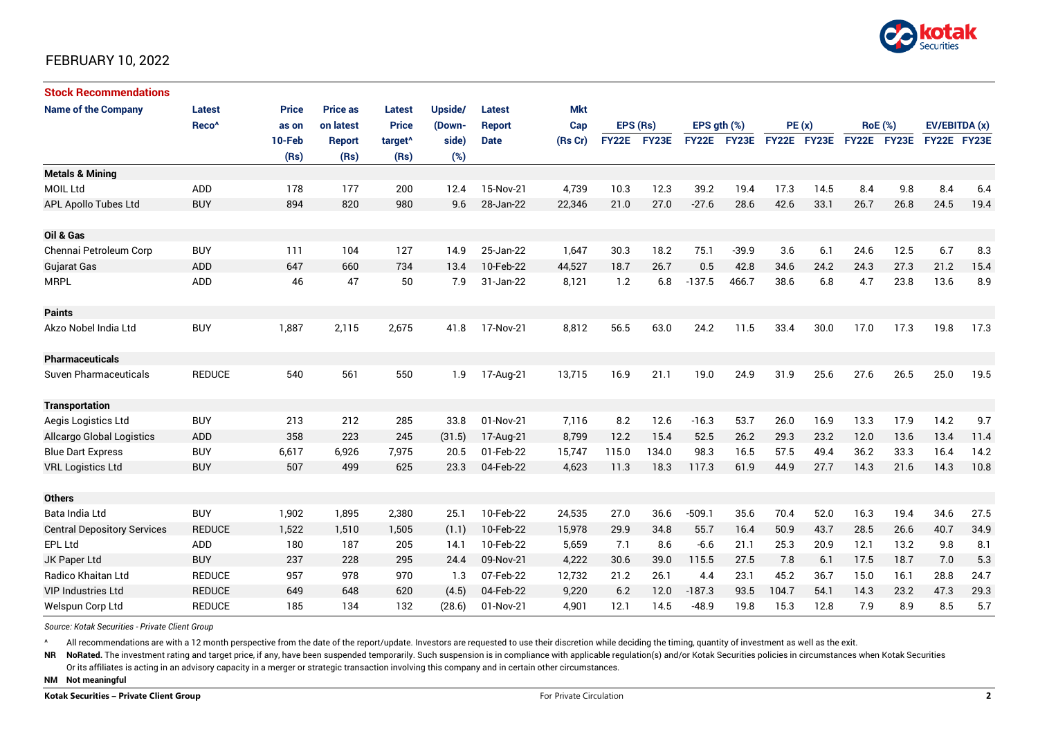

### FEBRUARY 10, 2022

| <b>Stock Recommendations</b>       |                   |              |                 |                     |         |               |            |              |       |                  |             |             |      |                |      |               |      |
|------------------------------------|-------------------|--------------|-----------------|---------------------|---------|---------------|------------|--------------|-------|------------------|-------------|-------------|------|----------------|------|---------------|------|
| <b>Name of the Company</b>         | <b>Latest</b>     | <b>Price</b> | <b>Price as</b> | <b>Latest</b>       | Upside/ | <b>Latest</b> | <b>Mkt</b> |              |       |                  |             |             |      |                |      |               |      |
|                                    | Reco <sup>^</sup> | as on        | on latest       | <b>Price</b>        | (Down-  | <b>Report</b> | Cap        | EPS (Rs)     |       | EPS $qth$ $(\%)$ |             | PE(x)       |      | <b>RoE</b> (%) |      | EV/EBITDA (x) |      |
|                                    |                   | 10-Feb       | <b>Report</b>   | target <sup>^</sup> | side)   | <b>Date</b>   | (Rs Cr)    | <b>FY22E</b> | FY23E |                  | FY22E FY23E | FY22E FY23E |      | FY22E FY23E    |      | FY22E FY23E   |      |
|                                    |                   | (Rs)         | (Rs)            | (Rs)                | (%)     |               |            |              |       |                  |             |             |      |                |      |               |      |
| <b>Metals &amp; Mining</b>         |                   |              |                 |                     |         |               |            |              |       |                  |             |             |      |                |      |               |      |
| <b>MOIL Ltd</b>                    | ADD               | 178          | 177             | 200                 | 12.4    | 15-Nov-21     | 4,739      | 10.3         | 12.3  | 39.2             | 19.4        | 17.3        | 14.5 | 8.4            | 9.8  | 8.4           | 6.4  |
| APL Apollo Tubes Ltd               | <b>BUY</b>        | 894          | 820             | 980                 | 9.6     | 28-Jan-22     | 22,346     | 21.0         | 27.0  | $-27.6$          | 28.6        | 42.6        | 33.1 | 26.7           | 26.8 | 24.5          | 19.4 |
|                                    |                   |              |                 |                     |         |               |            |              |       |                  |             |             |      |                |      |               |      |
| Oil & Gas                          |                   |              |                 |                     |         |               |            |              |       |                  |             |             |      |                |      |               |      |
| Chennai Petroleum Corp             | <b>BUY</b>        | 111          | 104             | 127                 | 14.9    | 25-Jan-22     | 1,647      | 30.3         | 18.2  | 75.1             | $-39.9$     | 3.6         | 6.1  | 24.6           | 12.5 | 6.7           | 8.3  |
| <b>Gujarat Gas</b>                 | <b>ADD</b>        | 647          | 660             | 734                 | 13.4    | 10-Feb-22     | 44,527     | 18.7         | 26.7  | 0.5              | 42.8        | 34.6        | 24.2 | 24.3           | 27.3 | 21.2          | 15.4 |
| <b>MRPL</b>                        | ADD               | 46           | 47              | 50                  | 7.9     | 31-Jan-22     | 8,121      | 1.2          | 6.8   | $-137.5$         | 466.7       | 38.6        | 6.8  | 4.7            | 23.8 | 13.6          | 8.9  |
|                                    |                   |              |                 |                     |         |               |            |              |       |                  |             |             |      |                |      |               |      |
| <b>Paints</b>                      |                   |              |                 |                     |         |               |            |              |       |                  |             |             |      |                |      |               |      |
| Akzo Nobel India Ltd               | <b>BUY</b>        | 1,887        | 2,115           | 2,675               | 41.8    | 17-Nov-21     | 8,812      | 56.5         | 63.0  | 24.2             | 11.5        | 33.4        | 30.0 | 17.0           | 17.3 | 19.8          | 17.3 |
|                                    |                   |              |                 |                     |         |               |            |              |       |                  |             |             |      |                |      |               |      |
| <b>Pharmaceuticals</b>             |                   |              |                 |                     |         |               |            |              |       |                  |             |             |      |                |      |               |      |
| <b>Suven Pharmaceuticals</b>       | <b>REDUCE</b>     | 540          | 561             | 550                 | 1.9     | 17-Aug-21     | 13,715     | 16.9         | 21.1  | 19.0             | 24.9        | 31.9        | 25.6 | 27.6           | 26.5 | 25.0          | 19.5 |
|                                    |                   |              |                 |                     |         |               |            |              |       |                  |             |             |      |                |      |               |      |
| <b>Transportation</b>              |                   |              |                 |                     |         |               |            |              |       |                  |             |             |      |                |      |               |      |
| Aegis Logistics Ltd                | <b>BUY</b>        | 213          | 212             | 285                 | 33.8    | 01-Nov-21     | 7,116      | 8.2          | 12.6  | $-16.3$          | 53.7        | 26.0        | 16.9 | 13.3           | 17.9 | 14.2          | 9.7  |
| <b>Allcargo Global Logistics</b>   | ADD               | 358          | 223             | 245                 | (31.5)  | 17-Aug-21     | 8,799      | 12.2         | 15.4  | 52.5             | 26.2        | 29.3        | 23.2 | 12.0           | 13.6 | 13.4          | 11.4 |
| <b>Blue Dart Express</b>           | <b>BUY</b>        | 6,617        | 6,926           | 7,975               | 20.5    | 01-Feb-22     | 15,747     | 115.0        | 134.0 | 98.3             | 16.5        | 57.5        | 49.4 | 36.2           | 33.3 | 16.4          | 14.2 |
| <b>VRL Logistics Ltd</b>           | <b>BUY</b>        | 507          | 499             | 625                 | 23.3    | 04-Feb-22     | 4,623      | 11.3         | 18.3  | 117.3            | 61.9        | 44.9        | 27.7 | 14.3           | 21.6 | 14.3          | 10.8 |
|                                    |                   |              |                 |                     |         |               |            |              |       |                  |             |             |      |                |      |               |      |
| <b>Others</b>                      |                   |              |                 |                     |         |               |            |              |       |                  |             |             |      |                |      |               |      |
| Bata India Ltd                     | <b>BUY</b>        | 1,902        | 1,895           | 2,380               | 25.1    | 10-Feb-22     | 24,535     | 27.0         | 36.6  | $-509.1$         | 35.6        | 70.4        | 52.0 | 16.3           | 19.4 | 34.6          | 27.5 |
| <b>Central Depository Services</b> | <b>REDUCE</b>     | 1,522        | 1,510           | 1,505               | (1.1)   | 10-Feb-22     | 15,978     | 29.9         | 34.8  | 55.7             | 16.4        | 50.9        | 43.7 | 28.5           | 26.6 | 40.7          | 34.9 |
| <b>EPL Ltd</b>                     | ADD               | 180          | 187             | 205                 | 14.1    | 10-Feb-22     | 5,659      | 7.1          | 8.6   | $-6.6$           | 21.1        | 25.3        | 20.9 | 12.1           | 13.2 | 9.8           | 8.1  |
| JK Paper Ltd                       | <b>BUY</b>        | 237          | 228             | 295                 | 24.4    | 09-Nov-21     | 4,222      | 30.6         | 39.0  | 115.5            | 27.5        | 7.8         | 6.1  | 17.5           | 18.7 | 7.0           | 5.3  |
| Radico Khaitan Ltd                 | <b>REDUCE</b>     | 957          | 978             | 970                 | 1.3     | 07-Feb-22     | 12,732     | 21.2         | 26.1  | 4.4              | 23.1        | 45.2        | 36.7 | 15.0           | 16.1 | 28.8          | 24.7 |
| <b>VIP Industries Ltd</b>          | <b>REDUCE</b>     | 649          | 648             | 620                 | (4.5)   | 04-Feb-22     | 9,220      | 6.2          | 12.0  | $-187.3$         | 93.5        | 104.7       | 54.1 | 14.3           | 23.2 | 47.3          | 29.3 |
| Welspun Corp Ltd                   | <b>REDUCE</b>     | 185          | 134             | 132                 | (28.6)  | 01-Nov-21     | 4,901      | 12.1         | 14.5  | $-48.9$          | 19.8        | 15.3        | 12.8 | 7.9            | 8.9  | 8.5           | 5.7  |

*Source: Kotak Securities - Private Client Group*

All recommendations are with a 12 month perspective from the date of the report/update. Investors are requested to use their discretion while deciding the timing, quantity of investment as well as the exit.

NR NoRated. The investment rating and target price, if any, have been suspended temporarily. Such suspension is in compliance with applicable regulation(s) and/or Kotak Securities policies in circumstances when Kotak Secur

Or its affiliates is acting in an advisory capacity in a merger or strategic transaction involving this company and in certain other circumstances.

**NM Not meaningful**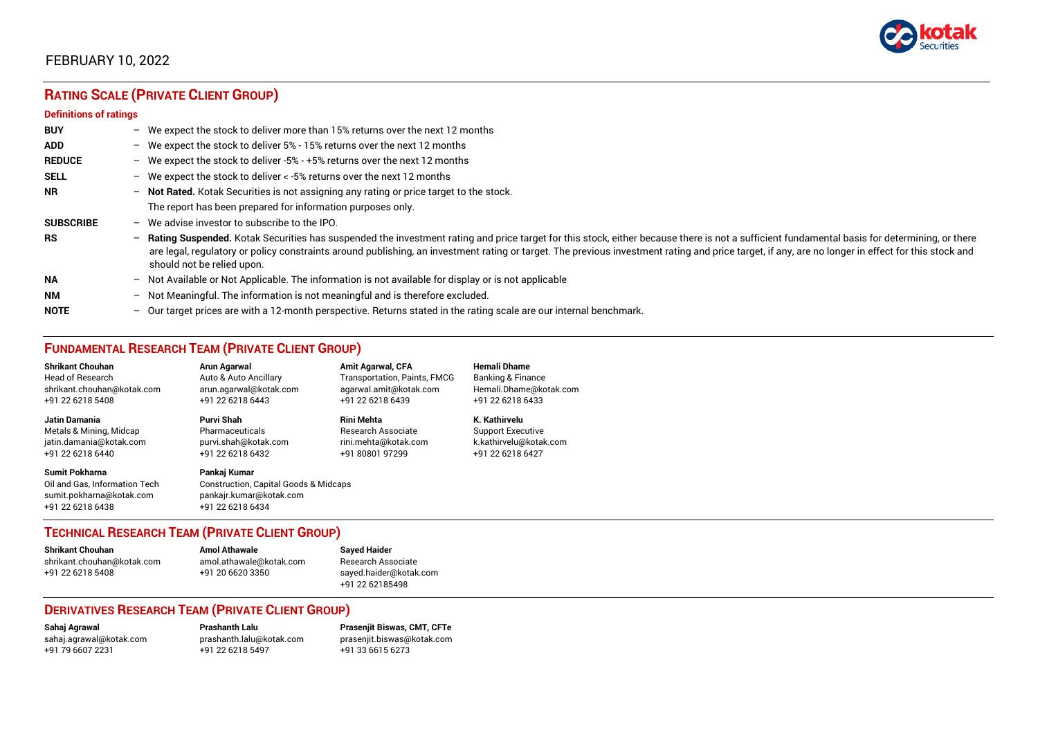

## FEBRUARY 10, 2022

## **RATING SCALE (PRIVATE CLIENT GROUP)**

#### **Definitions of ratings**

| <b>BUY</b>       |   | - We expect the stock to deliver more than 15% returns over the next 12 months                                                                                                                                                                                                                                                                                                                                                     |
|------------------|---|------------------------------------------------------------------------------------------------------------------------------------------------------------------------------------------------------------------------------------------------------------------------------------------------------------------------------------------------------------------------------------------------------------------------------------|
| <b>ADD</b>       |   | - We expect the stock to deliver 5% - 15% returns over the next 12 months                                                                                                                                                                                                                                                                                                                                                          |
| <b>REDUCE</b>    |   | - We expect the stock to deliver -5% - +5% returns over the next 12 months                                                                                                                                                                                                                                                                                                                                                         |
| <b>SELL</b>      |   | - We expect the stock to deliver $\lt$ -5% returns over the next 12 months                                                                                                                                                                                                                                                                                                                                                         |
| <b>NR</b>        |   | - Not Rated. Kotak Securities is not assigning any rating or price target to the stock.                                                                                                                                                                                                                                                                                                                                            |
|                  |   | The report has been prepared for information purposes only.                                                                                                                                                                                                                                                                                                                                                                        |
| <b>SUBSCRIBE</b> |   | $-$ We advise investor to subscribe to the IPO.                                                                                                                                                                                                                                                                                                                                                                                    |
| <b>RS</b>        |   | - Rating Suspended. Kotak Securities has suspended the investment rating and price target for this stock, either because there is not a sufficient fundamental basis for determining, or there<br>are legal, regulatory or policy constraints around publishing, an investment rating or target. The previous investment rating and price target, if any, are no longer in effect for this stock and<br>should not be relied upon. |
| <b>NA</b>        |   | $-$ Not Available or Not Applicable. The information is not available for display or is not applicable                                                                                                                                                                                                                                                                                                                             |
| <b>NM</b>        |   | - Not Meaningful. The information is not meaningful and is therefore excluded.                                                                                                                                                                                                                                                                                                                                                     |
| <b>NOTE</b>      | - | Our target prices are with a 12-month perspective. Returns stated in the rating scale are our internal benchmark.                                                                                                                                                                                                                                                                                                                  |

### **FUNDAMENTAL RESEARCH TEAM (PRIVATE CLIENT GROUP)**

| <b>Shrikant Chouhan</b>                                                                                | Arun Agarwal                                                                                                    | <b>Amit Agarwal, CFA</b>            | <b>Hemali Dhame</b>          |
|--------------------------------------------------------------------------------------------------------|-----------------------------------------------------------------------------------------------------------------|-------------------------------------|------------------------------|
| <b>Head of Research</b>                                                                                | Auto & Auto Ancillary                                                                                           | <b>Transportation, Paints, FMCG</b> | <b>Banking &amp; Finance</b> |
| shrikant.chouhan@kotak.com                                                                             | arun.agarwal@kotak.com                                                                                          | agarwal.amit@kotak.com              | Hemali.Dhame@kotak.com       |
| +91 22 6218 5408                                                                                       | +91 22 6218 6443                                                                                                | +91 22 6218 6439                    | +91 22 6218 6433             |
| Jatin Damania                                                                                          | Purvi Shah                                                                                                      | <b>Rini Mehta</b>                   | K. Kathirvelu                |
| Metals & Mining, Midcap                                                                                | Pharmaceuticals                                                                                                 | Research Associate                  | <b>Support Executive</b>     |
| jatin.damania@kotak.com                                                                                | purvi.shah@kotak.com                                                                                            | rini.mehta@kotak.com                | k.kathirvelu@kotak.com       |
| +91 22 6218 6440                                                                                       | +91 22 6218 6432                                                                                                | +91 80801 97299                     | +91 22 6218 6427             |
| <b>Sumit Pokharna</b><br>Oil and Gas. Information Tech<br>sumit.pokharna@kotak.com<br>+91 22 6218 6438 | Pankaj Kumar<br><b>Construction, Capital Goods &amp; Midcaps</b><br>pankajr.kumar@kotak.com<br>+91 22 6218 6434 |                                     |                              |

#### **TECHNICAL RESEARCH TEAM (PRIVATE CLIENT GROUP)**

| <b>Shrikant Chouhan</b>    | <b>Amol Athawale</b>    |   |
|----------------------------|-------------------------|---|
| shrikant.chouhan@kotak.com | amol.athawale@kotak.com |   |
| +91 22 6218 5408           | +91 20 6620 3350        | S |
|                            |                         |   |

#### **Shrikant Chouhan Amol Athawale Sayed Haider** Research Associate [sayed.haider@kotak.com](mailto:sayed.haider@kotak.com) +91 22 62185498

#### **DERIVATIVES RESEARCH TEAM (PRIVATE CLIENT GROUP)**

+91 22 6218 5497 +91 33 6615 6273

**Sahaj Agrawal Prashanth Lalu Prasenjit Biswas, CMT, CFTe** [sahaj.agrawal@kotak.com](mailto:sahaj.agrawal@kotak.com) [prashanth.lalu@kotak.com](mailto:prashanth.lalu@kotak.com) [prasenjit.biswas@kotak.com](mailto:prasenjit.biswas@kotak.com)